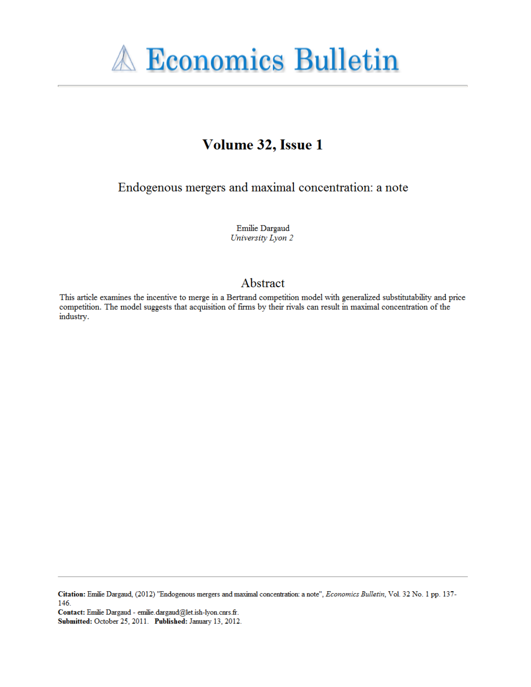

# Volume 32, Issue 1

Endogenous mergers and maximal concentration: a note

Emilie Dargaud University Lyon 2

## Abstract

This article examines the incentive to merge in a Bertrand competition model with generalized substitutability and price competition. The model suggests that acquisition of firms by their rivals can result in maximal concentration of the industry.

Citation: Emilie Dargaud, (2012) "Endogenous mergers and maximal concentration: a note", Economics Bulletin, Vol. 32 No. 1 pp. 137-146.

Contact: Emilie Dargaud - emilie.dargaud@let.ish-lyon.cnrs.fr. Submitted: October 25, 2011. Published: January 13, 2012.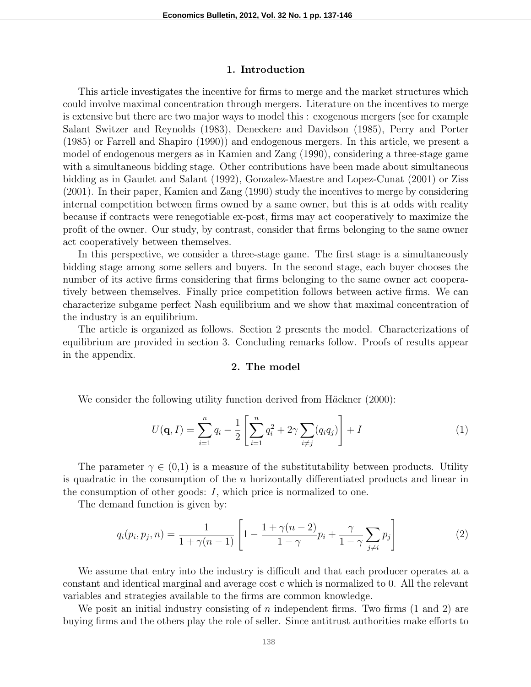#### 1. Introduction

This article investigates the incentive for firms to merge and the market structures which could involve maximal concentration through mergers. Literature on the incentives to merge is extensive but there are two major ways to model this : exogenous mergers (see for example Salant Switzer and Reynolds (1983), Deneckere and Davidson (1985), Perry and Porter (1985) or Farrell and Shapiro (1990)) and endogenous mergers. In this article, we present a model of endogenous mergers as in Kamien and Zang (1990), considering a three-stage game with a simultaneous bidding stage. Other contributions have been made about simultaneous bidding as in Gaudet and Salant (1992), Gonzalez-Maestre and Lopez-Cunat (2001) or Ziss (2001). In their paper, Kamien and Zang (1990) study the incentives to merge by considering internal competition between firms owned by a same owner, but this is at odds with reality because if contracts were renegotiable ex-post, firms may act cooperatively to maximize the profit of the owner. Our study, by contrast, consider that firms belonging to the same owner act cooperatively between themselves.

In this perspective, we consider a three-stage game. The first stage is a simultaneously bidding stage among some sellers and buyers. In the second stage, each buyer chooses the number of its active firms considering that firms belonging to the same owner act cooperatively between themselves. Finally price competition follows between active firms. We can characterize subgame perfect Nash equilibrium and we show that maximal concentration of the industry is an equilibrium.

The article is organized as follows. Section 2 presents the model. Characterizations of equilibrium are provided in section 3. Concluding remarks follow. Proofs of results appear in the appendix.

## 2. The model

We consider the following utility function derived from  $H\ddot{a}$ ckner (2000):

$$
U(\mathbf{q}, I) = \sum_{i=1}^{n} q_i - \frac{1}{2} \left[ \sum_{i=1}^{n} q_i^2 + 2\gamma \sum_{i \neq j} (q_i q_j) \right] + I \tag{1}
$$

The parameter  $\gamma \in (0,1)$  is a measure of the substitutability between products. Utility is quadratic in the consumption of the  $n$  horizontally differentiated products and linear in the consumption of other goods: I, which price is normalized to one.

The demand function is given by:

$$
q_i(p_i, p_j, n) = \frac{1}{1 + \gamma(n-1)} \left[ 1 - \frac{1 + \gamma(n-2)}{1 - \gamma} p_i + \frac{\gamma}{1 - \gamma} \sum_{j \neq i} p_j \right]
$$
(2)

We assume that entry into the industry is difficult and that each producer operates at a constant and identical marginal and average cost c which is normalized to 0. All the relevant variables and strategies available to the firms are common knowledge.

We posit an initial industry consisting of  $n$  independent firms. Two firms  $(1 \text{ and } 2)$  are buying firms and the others play the role of seller. Since antitrust authorities make efforts to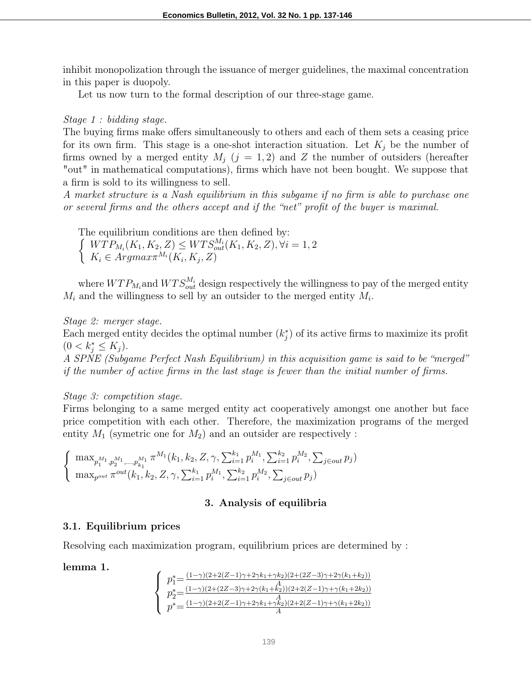inhibit monopolization through the issuance of merger guidelines, the maximal concentration in this paper is duopoly.

Let us now turn to the formal description of our three-stage game.

## Stage 1 : bidding stage.

The buying firms make offers simultaneously to others and each of them sets a ceasing price for its own firm. This stage is a one-shot interaction situation. Let  $K_i$  be the number of firms owned by a merged entity  $M_j$  ( $j = 1, 2$ ) and Z the number of outsiders (hereafter "out" in mathematical computations), firms which have not been bought. We suppose that a firm is sold to its willingness to sell.

A market structure is a Nash equilibrium in this subgame if no firm is able to purchase one or several firms and the others accept and if the "net" profit of the buyer is maximal.

The equilibrium conditions are then defined by:  $\int WTP_{M_i}(K_1, K_2, Z) \leq WTS_{out}^{M_i}(K_1, K_2, Z), \forall i = 1, 2$  $K_i \in \text{Argmax} \pi^{M_i}(K_i, K_j, Z)$ 

where  $WTP_{M_i}$  and  $WTS_{out}^{M_i}$  design respectively the willingness to pay of the merged entity  $M_i$  and the willingness to sell by an outsider to the merged entity  $M_i$ .

Stage 2: merger stage.

Each merged entity decides the optimal number  $(k_j^*)$  of its active firms to maximize its profit  $(0 < k_j^* \leq K_j).$ 

A SPNE (Subgame Perfect Nash Equilibrium) in this acquisition game is said to be "merged" if the number of active firms in the last stage is fewer than the initial number of firms.

## Stage 3: competition stage.

Firms belonging to a same merged entity act cooperatively amongst one another but face price competition with each other. Therefore, the maximization programs of the merged entity  $M_1$  (symetric one for  $M_2$ ) and an outsider are respectively :

$$
\begin{cases} \max_{p_1^{M_1}, p_2^{M_1}, \dots, p_{k_1}^{M_1}} \pi^{M_1}(k_1, k_2, Z, \gamma, \sum_{i=1}^{k_1} p_i^{M_1}, \sum_{i=1}^{k_2} p_i^{M_2}, \sum_{j \in out} p_j) \\ \max_{p^{out}} \pi^{out}(k_1, k_2, Z, \gamma, \sum_{i=1}^{k_1} p_i^{M_1}, \sum_{i=1}^{k_2} p_i^{M_2}, \sum_{j \in out} p_j) \end{cases}
$$

## 3. Analysis of equilibria

## 3.1. Equilibrium prices

Resolving each maximization program, equilibrium prices are determined by :

## lemma 1.

$$
\left\{\begin{array}{l} p_1^* = \frac{(1-\gamma)(2+2(Z-1)\gamma+2\gamma k_1+\gamma k_2)(2+(2Z-3)\gamma+2\gamma(k_1+k_2))}{p_2^* = \frac{(1-\gamma)(2+(2Z-3)\gamma+2\gamma(k_1+k_2))(2+2(Z-1)\gamma+\gamma(k_1+2k_2))}{A}} \\ p^* = \frac{(1-\gamma)(2+2(Z-1)\gamma+2\gamma k_1+\gamma k_2)(2+2(Z-1)\gamma+\gamma(k_1+2k_2))}{A} \end{array}\right.
$$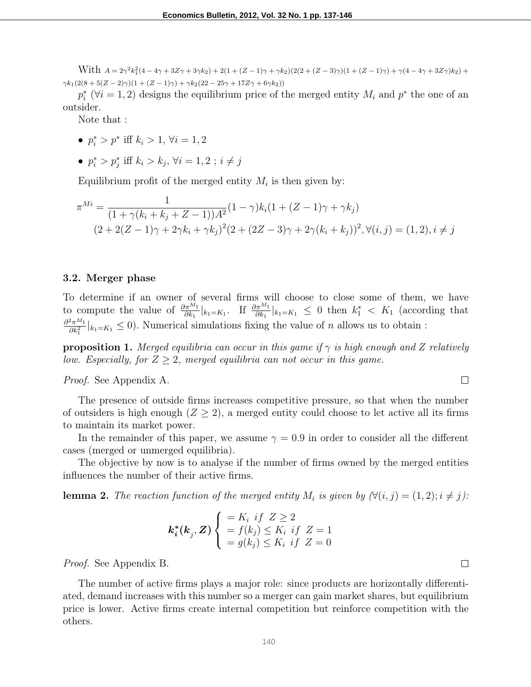With  $A = 2\gamma^2 k_1^2 (4 - 4\gamma + 3Z\gamma + 3\gamma k_2) + 2(1 + (Z - 1)\gamma + \gamma k_2)(2(2 + (Z - 3)\gamma)(1 + (Z - 1)\gamma) + \gamma(4 - 4\gamma + 3Z\gamma)k_2) +$  $\gamma k_1(2(8 + 5(Z - 2)\gamma)(1 + (Z - 1)\gamma) + \gamma k_2(22 - 25\gamma + 17Z\gamma + 6\gamma k_2))$ 

 $p_i^*$  ( $\forall i = 1, 2$ ) designs the equilibrium price of the merged entity  $M_i$  and  $p^*$  the one of an outsider.

Note that :

- $p_i^* > p^*$  iff  $k_i > 1$ ,  $\forall i = 1, 2$
- $p_i^* > p_j^*$  iff  $k_i > k_j$ ,  $\forall i = 1, 2$ ;  $i \neq j$

Equilibrium profit of the merged entity  $M_i$  is then given by:

$$
\pi^{Mi} = \frac{1}{(1 + \gamma(k_i + k_j + Z - 1))A^2}(1 - \gamma)k_i(1 + (Z - 1)\gamma + \gamma k_j)
$$
  

$$
(2 + 2(Z - 1)\gamma + 2\gamma k_i + \gamma k_j)^2(2 + (2Z - 3)\gamma + 2\gamma(k_i + k_j))^2, \forall (i, j) = (1, 2), i \neq j
$$

#### 3.2. Merger phase

To determine if an owner of several firms will choose to close some of them, we have to compute the value of  $\frac{\partial \pi^{M_1}}{\partial k_1}|_{k_1 = K_1}$ . If  $\frac{\partial \pi^{M_1}}{\partial k_1}|_{k_1 = K_1} \leq 0$  then  $k_1^* < K_1$  (according that  $\partial^2 \pi^{M_1}$  $\frac{2\pi^{M_1}}{\partial k_1^2}|_{k_1=K_1} \leq 0$ . Numerical simulations fixing the value of *n* allows us to obtain :

**proposition 1.** Merged equilibria can occur in this game if  $\gamma$  is high enough and Z relatively low. Especially, for  $Z \geq 2$ , merged equilibria can not occur in this game.

Proof. See Appendix A.

The presence of outside firms increases competitive pressure, so that when the number of outsiders is high enough  $(Z \geq 2)$ , a merged entity could choose to let active all its firms to maintain its market power.

In the remainder of this paper, we assume  $\gamma = 0.9$  in order to consider all the different cases (merged or unmerged equilibria).

The objective by now is to analyse if the number of firms owned by the merged entities influences the number of their active firms.

**lemma 2.** The reaction function of the merged entity  $M_i$  is given by  $(\forall (i, j) = (1, 2); i \neq j)$ :

$$
\boldsymbol{k_i^*(k_j, Z)} \begin{cases} = K_i \text{ if } Z \geq 2 \\ = f(k_j) \leq K_i \text{ if } Z = 1 \\ = g(k_j) \leq K_i \text{ if } Z = 0 \end{cases}
$$

Proof. See Appendix B.

The number of active firms plays a major role: since products are horizontally differentiated, demand increases with this number so a merger can gain market shares, but equilibrium price is lower. Active firms create internal competition but reinforce competition with the others.

 $\Box$ 

 $\Box$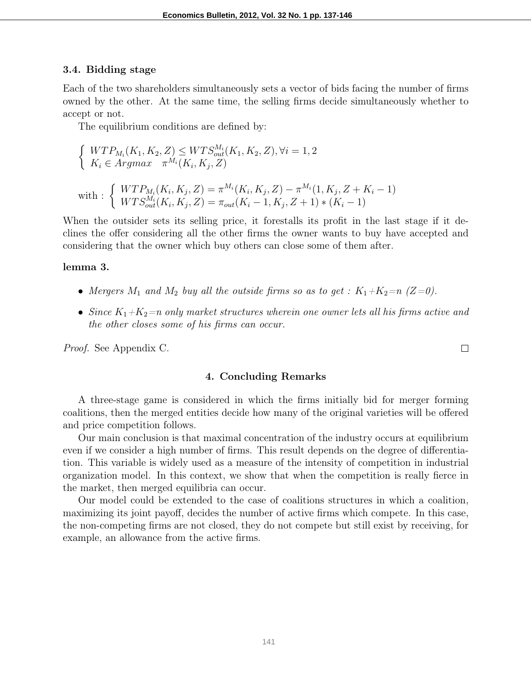#### 3.4. Bidding stage

Each of the two shareholders simultaneously sets a vector of bids facing the number of firms owned by the other. At the same time, the selling firms decide simultaneously whether to accept or not.

The equilibrium conditions are defined by:

$$
\begin{cases} WTP_{M_i}(K_1, K_2, Z) \le WTS_{out}^{M_i}(K_1, K_2, Z), \forall i = 1, 2\\ K_i \in Argmax \quad \pi^{M_i}(K_i, K_j, Z) \end{cases}
$$

with: 
$$
\begin{cases} WTP_{M_i}(K_i, K_j, Z) = \pi^{M_i}(K_i, K_j, Z) - \pi^{M_i}(1, K_j, Z + K_i - 1) \\ WTS_{out}^{M_i}(K_i, K_j, Z) = \pi_{out}(K_i - 1, K_j, Z + 1) * (K_i - 1) \end{cases}
$$

When the outsider sets its selling price, it forestalls its profit in the last stage if it declines the offer considering all the other firms the owner wants to buy have accepted and considering that the owner which buy others can close some of them after.

#### lemma 3.

- Mergers  $M_1$  and  $M_2$  buy all the outside firms so as to get :  $K_1+K_2=n$  (Z=0).
- Since  $K_1+K_2=n$  only market structures wherein one owner lets all his firms active and the other closes some of his firms can occur.

Proof. See Appendix C.

### 4. Concluding Remarks

A three-stage game is considered in which the firms initially bid for merger forming coalitions, then the merged entities decide how many of the original varieties will be offered and price competition follows.

Our main conclusion is that maximal concentration of the industry occurs at equilibrium even if we consider a high number of firms. This result depends on the degree of differentiation. This variable is widely used as a measure of the intensity of competition in industrial organization model. In this context, we show that when the competition is really fierce in the market, then merged equilibria can occur.

Our model could be extended to the case of coalitions structures in which a coalition, maximizing its joint payoff, decides the number of active firms which compete. In this case, the non-competing firms are not closed, they do not compete but still exist by receiving, for example, an allowance from the active firms.

 $\Box$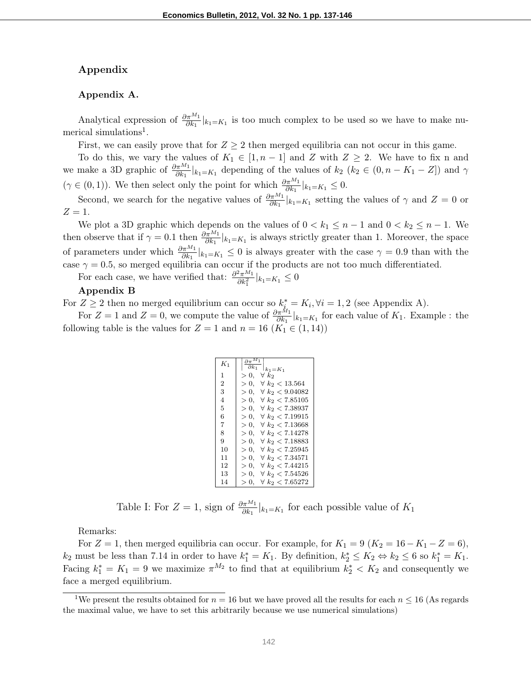#### Appendix

#### Appendix A.

Analytical expression of  $\frac{\partial \pi^{M_1}}{\partial k_1}|_{k_1 = K_1}$  is too much complex to be used so we have to make numerical simulations<sup>1</sup>.

First, we can easily prove that for  $Z \geq 2$  then merged equilibria can not occur in this game.

To do this, we vary the values of  $K_1 \in [1, n-1]$  and Z with  $Z \geq 2$ . We have to fix n and we make a 3D graphic of  $\frac{\partial \pi^{M_1}}{\partial k_1}|_{k_1 = K_1}$  depending of the values of  $k_2$   $(k_2 \in (0, n - K_1 - Z])$  and  $\gamma$  $(\gamma \in (0,1))$ . We then select only the point for which  $\frac{\partial \pi^{M_1}}{\partial k_1}|_{k_1 = K_1} \leq 0$ .

Second, we search for the negative values of  $\frac{\partial \pi^{M_1}}{\partial k_1}|_{k_1 = K_1}$  setting the values of  $\gamma$  and  $Z = 0$  or  $Z=1$ .

We plot a 3D graphic which depends on the values of  $0 < k_1 \leq n-1$  and  $0 < k_2 \leq n-1$ . We then observe that if  $\gamma = 0.1$  then  $\frac{\partial \pi^{M_1}}{\partial k_1}|_{k_1 = K_1}$  is always strictly greater than 1. Moreover, the space of parameters under which  $\frac{\partial \pi^{M_1}}{\partial k_1}|_{k_1=K_1} \leq 0$  is always greater with the case  $\gamma = 0.9$  than with the case  $\gamma = 0.5$ , so merged equilibria can occur if the products are not too much differentiated.

For each case, we have verified that:  $\frac{\partial^2 \pi^{M_1}}{\partial h^2}$  $\frac{\partial^2 \pi^{m_1}}{\partial k_1^2}|_{k_1=K_1} \leq 0$ 

#### Appendix B

For  $Z \geq 2$  then no merged equilibrium can occur so  $k_{i}^* = K_i, \forall i = 1, 2$  (see Appendix A).

For  $Z = 1$  and  $Z = 0$ , we compute the value of  $\frac{\partial \pi^{M_1}}{\partial k_1}|_{k_1 = K_1}$  for each value of  $K_1$ . Example : the following table is the values for  $Z = 1$  and  $n = 16$   $(K_1 \in (1, 14))$ 

| $K_1$          | $\partial \pi^{\Lambda}$<br>$\partial k_1$<br>$k_1 = K_1$ |
|----------------|-----------------------------------------------------------|
| 1.             | >0<br>$\forall k_2$                                       |
| $\overline{2}$ | $\forall k_2 < 13.564$<br>> 0                             |
| 3              | $\forall k_2 < 9.04082$<br>> 0                            |
| 4              | >0<br>$\forall k_2 < 7.85105$                             |
| 5              | $\forall\ k_2 < 7.38937$<br>>0                            |
| 6              | $\forall k_2 < 7.19915$<br>>0                             |
| 7              | >0<br>$\forall k_2 < 7.13668$                             |
| 8              | $\forall k_2 < 7.14278$<br>> 0.                           |
| 9              | $\forall\ k_2 < 7.18883$<br>>0                            |
| 10             | >0<br>$\forall\ k_2 < 7.25945$                            |
| 11             | $\forall k_2 < 7.34571$<br>> 0.                           |
| 12             | >0<br>$\forall k_2 < 7.44215$                             |
| 13             | >0<br>$\forall k_2 < 7.54526$                             |
| 14             | $\forall k_2 < 7.65272$<br>>0                             |

Table I: For  $Z = 1$ , sign of  $\frac{\partial \pi^{M_1}}{\partial k_1}|_{k_1 = K_1}$  for each possible value of  $K_1$ 

Remarks:

For  $Z = 1$ , then merged equilibria can occur. For example, for  $K_1 = 9$  ( $K_2 = 16 - K_1 - Z = 6$ ),  $k_2$  must be less than 7.14 in order to have  $k_1^* = K_1$ . By definition,  $k_2^* \leq K_2 \Leftrightarrow k_2 \leq 6$  so  $k_1^* = K_1$ . Facing  $k_1^* = K_1 = 9$  we maximize  $\pi^{M_2}$  to find that at equilibrium  $k_2^* < K_2$  and consequently we face a merged equilibrium.

<sup>&</sup>lt;sup>1</sup>We present the results obtained for  $n = 16$  but we have proved all the results for each  $n \le 16$  (As regards the maximal value, we have to set this arbitrarily because we use numerical simulations)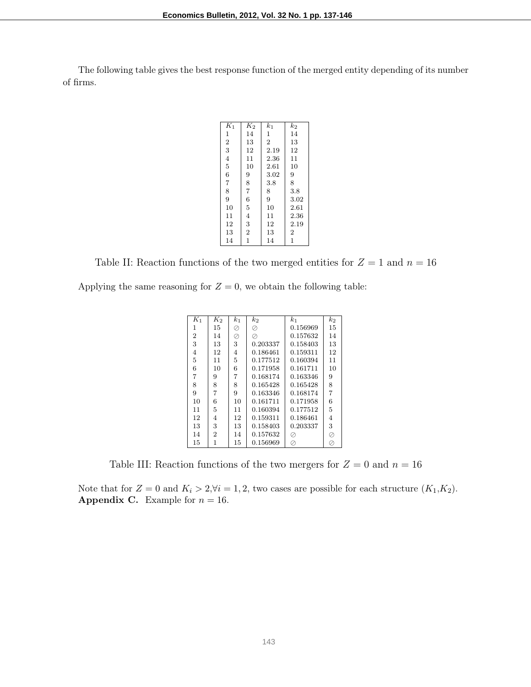The following table gives the best response function of the merged entity depending of its number of firms.

| $\overline{K}_1$ | $K_2$          | $k_1$          | $k_2$          |
|------------------|----------------|----------------|----------------|
| 1                | 14             | $\mathbf 1$    | 14             |
| $\overline{2}$   | 13             | $\overline{2}$ | 13             |
| 3                | 12             | 2.19           | 12             |
| $\overline{4}$   | 11             | 2.36           | 11             |
| 5                | 10             | 2.61           | 10             |
| 6                | 9              | 3.02           | 9              |
| 7                | 8              | 3.8            | 8              |
| 8                | $\overline{7}$ | 8              | 3.8            |
| 9                | 6              | 9              | 3.02           |
| 10               | 5              | 10             | 2.61           |
| 11               | $\overline{4}$ | 11             | 2.36           |
| 12               | 3              | 12             | 2.19           |
| 13               | $\overline{2}$ | 13             | $\overline{2}$ |
| 14               | $\overline{1}$ | 14             | $\overline{1}$ |
|                  |                |                |                |

Table II: Reaction functions of the two merged entities for  $Z = 1$  and  $n = 16$ 

Applying the same reasoning for  $Z = 0$ , we obtain the following table:

| $K_1$          | $K_2$          | $k_{1}$ | $k_2$    | $_{k_1}$ | $k_2$          |
|----------------|----------------|---------|----------|----------|----------------|
| 1              | 15             | Ø       | ⊘        | 0.156969 | 15             |
| $\overline{2}$ | 14             | Ø       | ⊘        | 0.157632 | 14             |
| 3              | 13             | 3       | 0.203337 | 0.158403 | 13             |
| 4              | 12             | 4       | 0.186461 | 0.159311 | 12             |
| 5              | 11             | 5       | 0.177512 | 0.160394 | 11             |
| 6              | 10             | 6       | 0.171958 | 0.161711 | 10             |
| 7              | 9              | 7       | 0.168174 | 0.163346 | 9              |
| 8              | 8              | 8       | 0.165428 | 0.165428 | 8              |
| 9              | 7              | 9       | 0.163346 | 0.168174 | $\overline{7}$ |
| 10             | 6              | 10      | 0.161711 | 0.171958 | 6              |
| 11             | 5              | 11      | 0.160394 | 0.177512 | 5              |
| 12             | 4              | 12      | 0.159311 | 0.186461 | 4              |
| 13             | 3              | 13      | 0.158403 | 0.203337 | 3              |
| 14             | $\overline{2}$ | 14      | 0.157632 |          | ⊘              |
| 15             | 1              | 15      | 0.156969 | Ø,       | Q,             |

Table III: Reaction functions of the two mergers for  $Z = 0$  and  $n = 16$ 

Note that for  $Z = 0$  and  $K_i > 2, \forall i = 1, 2$ , two cases are possible for each structure  $(K_1, K_2)$ . **Appendix C.** Example for  $n = 16$ .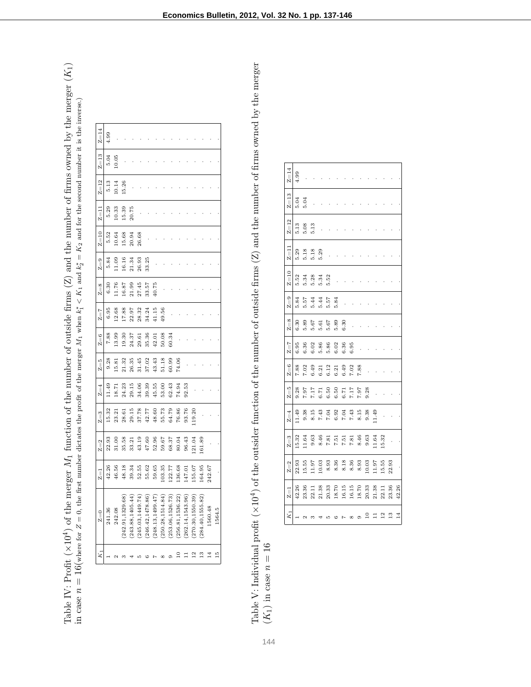| $Z = 14$         | 4.99   |        |                   |                   |                   |                 |                   |                  |                 |                  |                   |                 |                 |         |        |
|------------------|--------|--------|-------------------|-------------------|-------------------|-----------------|-------------------|------------------|-----------------|------------------|-------------------|-----------------|-----------------|---------|--------|
| $Z = 13$         | 5.04   | 10.05  |                   |                   |                   |                 |                   |                  |                 |                  |                   |                 |                 |         |        |
| $Z = 12$         | 5.13   | 10.14  | 15.26             |                   |                   |                 |                   |                  |                 |                  |                   |                 |                 |         |        |
| $Z=11$           | 5.29   | 10.33  | 15.39             | 20.75             |                   |                 |                   |                  |                 |                  |                   |                 |                 |         |        |
| $Z = 10$         | 5.52   | 10.64  | 15.68             | 20.94             | 26.68             |                 |                   |                  |                 |                  |                   |                 |                 |         |        |
| $Z=9$            | 5.84   | 11.09  | 16.16             | 21.34             | 26.93             | 33.25           |                   |                  |                 |                  |                   |                 |                 |         |        |
| $Z=8$            | 6.30   | 11.76  | 16.87             | 21.99             | 27.45             | 33.57           | 40.75             |                  |                 |                  |                   |                 |                 |         |        |
| $Z = 7$          | 6.95   | 12.68  | 17.88             | 22.97             | 28.32             | 34.24           | 41.15             | 49.56            |                 |                  |                   |                 |                 |         |        |
| $Z=6$            | 7.88   | 13.99  | 19.30             | 24.37             | 29.61             | 35.36           | 42.01             | 50.08            | 60.34           |                  |                   |                 |                 |         |        |
| $Z = 5$          | 9.28   | 15.81  | 21.32             | 26.35             | 31.45             | 37.02           | 43.43             | 51.18            | 60.99           | 74.06            |                   |                 |                 |         |        |
| $Z=4$            | 11.49  | 18.71  | 24.23             | 29.15             | 34.06             | 39.39           | 45.55             | 53.00            | 62.43           | 74.94            | 92.53             |                 |                 |         |        |
| $Z=3$            | 15.32  | 23.21  | 28.61             | 29.15             | 37.78             | 42.77           | 48.60             | 55.73            | 64.79           | 76.86            | 93.76             | 119.20          |                 |         |        |
| $Z=2$            | 22.93  | 31.00  | 35.58             | 33.21             | 43.19             | 47.60           | 52.96             | 59.67            | 68.37           | 80.04            | 96.43             | 121.04          | 161.89          |         |        |
| $Z=1$            | 42.26  | 46.56  | 48.18             | 39.34             | 52.55             | 55.62           | 59.65             | 103.35           | 122.77          | 136.68           | 147.01            | 155.07          | 164.95          | 242.67  |        |
| $\overline{z}=0$ | 241.36 | 242.08 | (242.91, 1329.68) | (243.88, 1405.44) | (245.03, 1449.74) | 246.42,1478.86) | (248.13, 1499.47) | 250.28, 1514.84) | 253.06,1526.73) | 256.81, 1536.22) | (262.14, 1543.96) | 270.30,1550.39) | 284.40,1555.82) | 1560.48 | 1564.5 |
|                  |        |        |                   |                   | ۲٥                | cc              |                   | œ                |                 |                  |                   | $^{12}$         | $^{13}$         | 14      | 15     |

Table V: Individual profit ( $\rangle$ Table V: Individual profit  $(x10^4)$  of the outsider function of the number of outside firms  $(Z)$  and the number of firms owned by the merger  $^{4}$ ) of the outsider function of the number of outside firms (Z) and the number of firms owned by the merger  $(K_1)$  in case  $n = 16$ 

| $Z = 14$          | 4.99  |       |       |       |       |       |                  |       |       |                                                       |       |         |               |                 |
|-------------------|-------|-------|-------|-------|-------|-------|------------------|-------|-------|-------------------------------------------------------|-------|---------|---------------|-----------------|
| $Z = 13$          | 5.04  | 5.04  |       |       |       |       |                  |       |       |                                                       |       |         |               |                 |
| $Z = 12$          | 5.13  | 5.08  | 5.13  |       |       |       |                  |       |       |                                                       |       |         |               |                 |
| $Z=11$            | 5.29  | 5.18  | 5.18  | 5.29  |       |       |                  |       |       |                                                       |       |         |               |                 |
| $Z = 10$          | 5.52  | 5.34  | 5.28  | 5.34  | 5.52  |       |                  |       |       |                                                       |       |         |               |                 |
| $Z=9$             | 5.84  | 5.57  | 5.44  | 5.44  | 5.57  | 5.84  |                  |       |       |                                                       |       |         |               |                 |
| $Z=8$             | 6.30  | 5.89  | 5.67  | 5.61  | 5.67  | 5.89  | 6.30             |       |       |                                                       |       |         |               |                 |
| $Z = 7$           | 6.95  | 6.36  | 6.02  | 5.86  | 5.86  | 6.02  | 6.36             | 6.95  |       |                                                       |       |         |               |                 |
| $Z=6$             | 7.88  | 7.02  | 6.49  | 6.21  | 6.12  | 6.21  | 6.49             | 7.02  | 7.88  |                                                       |       |         |               |                 |
| $Z=5$             | 9.28  | 7.97  | 7.17  | 6.71  | 6.50  | 6.50  | 6.71             | 7.17  | 7.97  | 9.28                                                  |       |         |               |                 |
| $Z=4$             | 11.49 | 9.38  | 8.15  | 7.43  | 7.04  | 6.92  | 7.04             | 7.43  |       | $8.15$<br>$9.38$<br>$11.49$                           |       |         |               |                 |
| $Z=3$             | 15.32 | 1.64  | 9.63  | 8.46  | 7.81  | 7.51  | 7.51             | 7.81  | 8.46  | 9.63                                                  | 11.64 | 15.32   |               |                 |
| $Z=2$             | 22.93 | 15.55 | 1.97  | 10.03 | 8.93  | 8.36  | $8.18$<br>$8.36$ |       |       | $\begin{array}{c} 8.93 \\ 10.03 \\ 11.97 \end{array}$ |       | 15.55   | 22.93         |                 |
| $\overline{z}$ =1 | 42.26 | 23.36 | 22.11 | 21.38 | 20.33 | 18.70 | 16.15            | 16.15 | 18.70 | 20.33                                                 | 21.38 | 22.11   | 23.36         | 42.26           |
| $K_1$             |       |       |       |       |       |       |                  |       |       | $\Xi$                                                 |       | $^{12}$ | $\frac{3}{2}$ | $\overline{14}$ |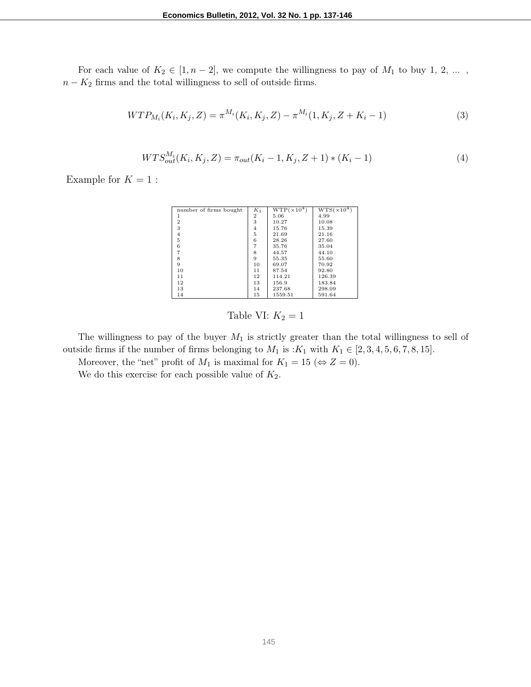For each value of  $K_2 \in [1, n-2]$ , we compute the willingness to pay of  $M_1$  to buy 1, 2, ...,  $n - K_2$  firms and the total willingness to sell of outside firms.

$$
WTP_{M_i}(K_i, K_j, Z) = \pi^{M_i}(K_i, K_j, Z) - \pi^{M_i}(1, K_j, Z + K_i - 1)
$$
\n(3)

$$
WTS_{out}^{M_i}(K_i, K_j, Z) = \pi_{out}(K_i - 1, K_j, Z + 1) * (K_i - 1)
$$
\n(4)

Example for  $K = 1$ :

| number of firms bought | $K_1$          | $WTP(\times 10^4)$ | $WTS(\times 10^4)$ |
|------------------------|----------------|--------------------|--------------------|
|                        | $\mathbf 2$    | 5.06               | 4.99               |
| $\overline{2}$         | 3              | 10.27              | 10.08              |
| 3                      | $\overline{4}$ | 15.76              | 15.39              |
| $\overline{4}$         | 5              | 21.69              | 21.16              |
| 5                      | 6              | 28.26              | 27.60              |
| 6                      | $\overline{7}$ | 35.76              | 35.04              |
|                        | 8              | 44.57              | 44.10              |
| 8                      | 9              | 55.35              | 55.60              |
| 9                      | 10             | 69.07              | 70.92              |
| 10                     | 11             | 87.54              | 92.80              |
| 11                     | 12             | 114.21             | 126.39             |
| 12                     | 13             | 156.9              | 183.84             |
| 13                     | 14             | 237.68             | 298.09             |
| 14                     | 15             | 1559.51            | 591.64             |

## Table VI:  $K_2 = 1$

The willingness to pay of the buyer  $M_1$  is strictly greater than the total willingness to sell of outside firms if the number of firms belonging to  $M_1$  is : $K_1$  with  $K_1 \in [2, 3, 4, 5, 6, 7, 8, 15]$ .

Moreover, the "net" profit of  $M_1$  is maximal for  $K_1 = 15 \ (\Leftrightarrow Z = 0)$ .

We do this exercise for each possible value of  $K_2$ .